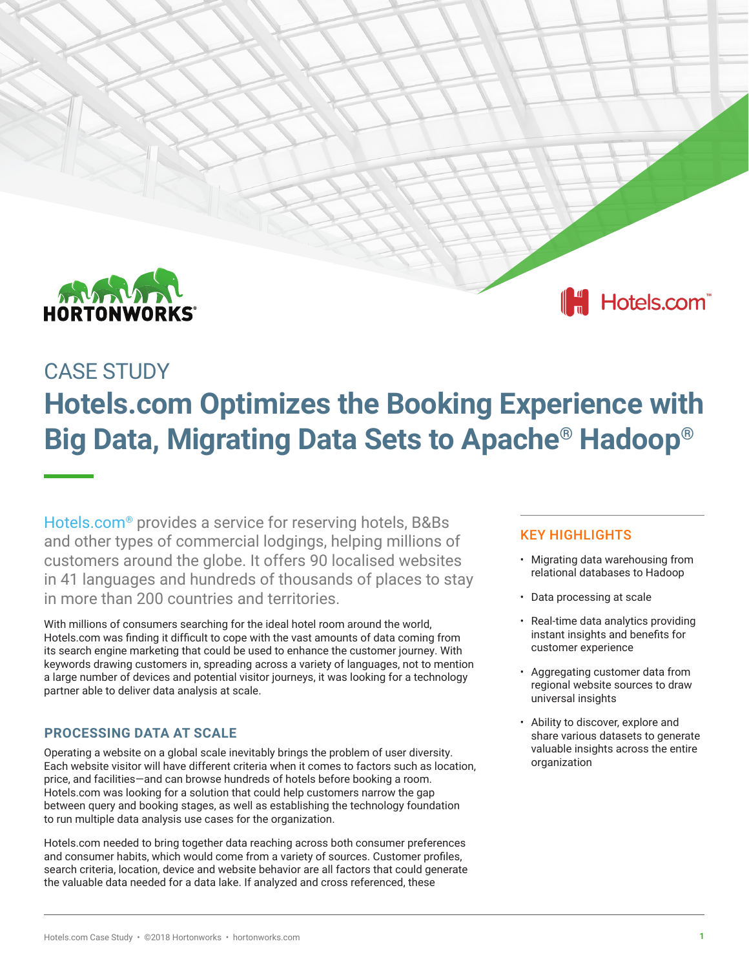

Hotels.com<sup>®</sup>

# CASE STUDY

# **Hotels.com Optimizes the Booking Experience with Big Data, Migrating Data Sets to Apache® Hadoop®**

[Hotels.com®](http://www.hotels.com) provides a service for reserving hotels, B&Bs and other types of commercial lodgings, helping millions of customers around the globe. It offers 90 localised websites in 41 languages and hundreds of thousands of places to stay in more than 200 countries and territories.

With millions of consumers searching for the ideal hotel room around the world, Hotels.com was finding it difficult to cope with the vast amounts of data coming from its search engine marketing that could be used to enhance the customer journey. With keywords drawing customers in, spreading across a variety of languages, not to mention a large number of devices and potential visitor journeys, it was looking for a technology partner able to deliver data analysis at scale.

## **PROCESSING DATA AT SCALE**

Operating a website on a global scale inevitably brings the problem of user diversity. Each website visitor will have different criteria when it comes to factors such as location, price, and facilities—and can browse hundreds of hotels before booking a room. Hotels.com was looking for a solution that could help customers narrow the gap between query and booking stages, as well as establishing the technology foundation to run multiple data analysis use cases for the organization.

Hotels.com needed to bring together data reaching across both consumer preferences and consumer habits, which would come from a variety of sources. Customer profiles, search criteria, location, device and website behavior are all factors that could generate the valuable data needed for a data lake. If analyzed and cross referenced, these

## KEY HIGHLIGHTS

- Migrating data warehousing from relational databases to Hadoop
- Data processing at scale
- Real-time data analytics providing instant insights and benefits for customer experience
- Aggregating customer data from regional website sources to draw universal insights
- Ability to discover, explore and share various datasets to generate valuable insights across the entire organization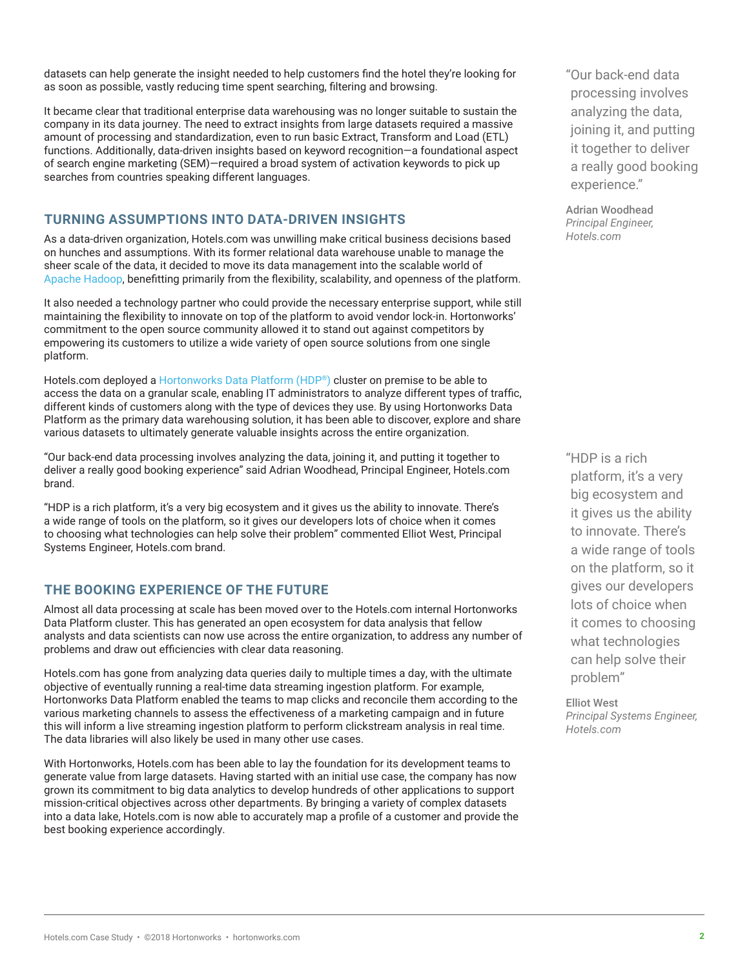datasets can help generate the insight needed to help customers find the hotel they're looking for as soon as possible, vastly reducing time spent searching, filtering and browsing.

It became clear that traditional enterprise data warehousing was no longer suitable to sustain the company in its data journey. The need to extract insights from large datasets required a massive amount of processing and standardization, even to run basic Extract, Transform and Load (ETL) functions. Additionally, data-driven insights based on keyword recognition—a foundational aspect of search engine marketing (SEM)—required a broad system of activation keywords to pick up searches from countries speaking different languages.

#### **TURNING ASSUMPTIONS INTO DATA-DRIVEN INSIGHTS**

As a data-driven organization, Hotels.com was unwilling make critical business decisions based on hunches and assumptions. With its former relational data warehouse unable to manage the sheer scale of the data, it decided to move its data management into the scalable world of [Apache Hadoop](http://hadoop.apache.org/), benefitting primarily from the flexibility, scalability, and openness of the platform.

It also needed a technology partner who could provide the necessary enterprise support, while still maintaining the flexibility to innovate on top of the platform to avoid vendor lock-in. Hortonworks' commitment to the open source community allowed it to stand out against competitors by empowering its customers to utilize a wide variety of open source solutions from one single platform.

Hotels.com deployed a [Hortonworks Data Platform \(HDP](http://hortonworks.com/products/data-center/hdp/)**®**) cluster on premise to be able to access the data on a granular scale, enabling IT administrators to analyze different types of traffic, different kinds of customers along with the type of devices they use. By using Hortonworks Data Platform as the primary data warehousing solution, it has been able to discover, explore and share various datasets to ultimately generate valuable insights across the entire organization.

"Our back-end data processing involves analyzing the data, joining it, and putting it together to deliver a really good booking experience" said Adrian Woodhead, Principal Engineer, Hotels.com brand.

"HDP is a rich platform, it's a very big ecosystem and it gives us the ability to innovate. There's a wide range of tools on the platform, so it gives our developers lots of choice when it comes to choosing what technologies can help solve their problem" commented Elliot West, Principal Systems Engineer, Hotels.com brand.

#### **THE BOOKING EXPERIENCE OF THE FUTURE**

Almost all data processing at scale has been moved over to the Hotels.com internal Hortonworks Data Platform cluster. This has generated an open ecosystem for data analysis that fellow analysts and data scientists can now use across the entire organization, to address any number of problems and draw out efficiencies with clear data reasoning.

Hotels.com has gone from analyzing data queries daily to multiple times a day, with the ultimate objective of eventually running a real-time data streaming ingestion platform. For example, Hortonworks Data Platform enabled the teams to map clicks and reconcile them according to the various marketing channels to assess the effectiveness of a marketing campaign and in future this will inform a live streaming ingestion platform to perform clickstream analysis in real time. The data libraries will also likely be used in many other use cases.

With Hortonworks, Hotels.com has been able to lay the foundation for its development teams to generate value from large datasets. Having started with an initial use case, the company has now grown its commitment to big data analytics to develop hundreds of other applications to support mission-critical objectives across other departments. By bringing a variety of complex datasets into a data lake, Hotels.com is now able to accurately map a profile of a customer and provide the best booking experience accordingly.

"Our back-end data processing involves analyzing the data, joining it, and putting it together to deliver a really good booking experience."

Adrian Woodhead *Principal Engineer, Hotels.com*

"HDP is a rich platform, it's a very big ecosystem and it gives us the ability to innovate. There's a wide range of tools on the platform, so it gives our developers lots of choice when it comes to choosing what technologies can help solve their problem"

Elliot West *Principal Systems Engineer, Hotels.com*